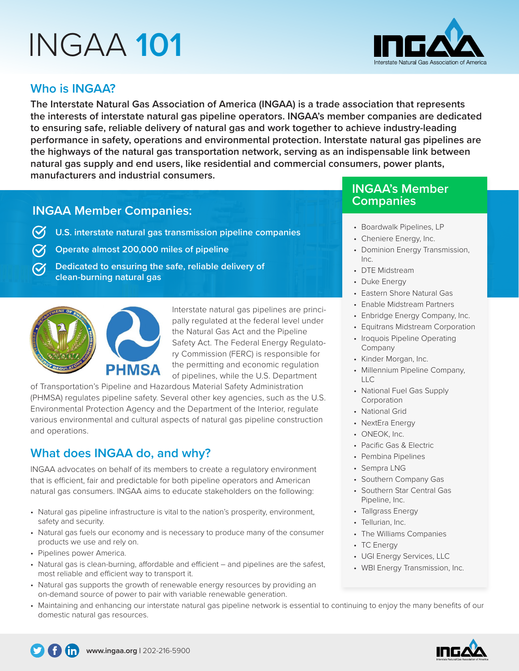# INGAA **101**



## **Who is INGAA?**

**The Interstate Natural Gas Association of America (INGAA) is a trade association that represents the interests of interstate natural gas pipeline operators. INGAA's member companies are dedicated to ensuring safe, reliable delivery of natural gas and work together to achieve industry-leading performance in safety, operations and environmental protection. Interstate natural gas pipelines are the highways of the natural gas transportation network, serving as an indispensable link between natural gas supply and end users, like residential and commercial consumers, power plants, manufacturers and industrial consumers.** 

# **INGAA Member Companies:**

- **U.S. interstate natural gas transmission pipeline companies**
- **Operate almost 200,000 miles of pipeline**
- **Dedicated to ensuring the safe, reliable delivery of clean-burning natural gas**



Interstate natural gas pipelines are principally regulated at the federal level under the Natural Gas Act and the Pipeline Safety Act. The Federal Energy Regulatory Commission (FERC) is responsible for the permitting and economic regulation of pipelines, while the U.S. Department

of Transportation's Pipeline and Hazardous Material Safety Administration (PHMSA) regulates pipeline safety. Several other key agencies, such as the U.S. Environmental Protection Agency and the Department of the Interior, regulate various environmental and cultural aspects of natural gas pipeline construction and operations.

# **What does INGAA do, and why?**

INGAA advocates on behalf of its members to create a regulatory environment that is efficient, fair and predictable for both pipeline operators and American natural gas consumers. INGAA aims to educate stakeholders on the following:

- Natural gas pipeline infrastructure is vital to the nation's prosperity, environment, safety and security.
- Natural gas fuels our economy and is necessary to produce many of the consumer products we use and rely on.
- Pipelines power America.
- Natural gas is clean-burning, affordable and efficient and pipelines are the safest, most reliable and efficient way to transport it.
- Natural gas supports the growth of renewable energy resources by providing an on-demand source of power to pair with variable renewable generation.
- Maintaining and enhancing our interstate natural gas pipeline network is essential to continuing to enjoy the many benefits of our domestic natural gas resources.

## **INGAA's Member Companies**

- Boardwalk Pipelines, LP
- Cheniere Energy, Inc.
- Dominion Energy Transmission, Inc.
- DTE Midstream
- Duke Energy
- Eastern Shore Natural Gas
- Enable Midstream Partners
- Enbridge Energy Company, Inc.
- Equitrans Midstream Corporation
- Iroquois Pipeline Operating Company
- Kinder Morgan, Inc.
- Millennium Pipeline Company, LLC
- National Fuel Gas Supply Corporation
- National Grid
- NextEra Energy
- ONEOK, Inc.
- Pacific Gas & Electric
- Pembina Pipelines
- Sempra LNG
- Southern Company Gas
- Southern Star Central Gas Pipeline, Inc.
- Tallgrass Energy
- Tellurian, Inc.
- The Williams Companies
- TC Energy
- UGI Energy Services, LLC
- WBI Energy Transmission, Inc.